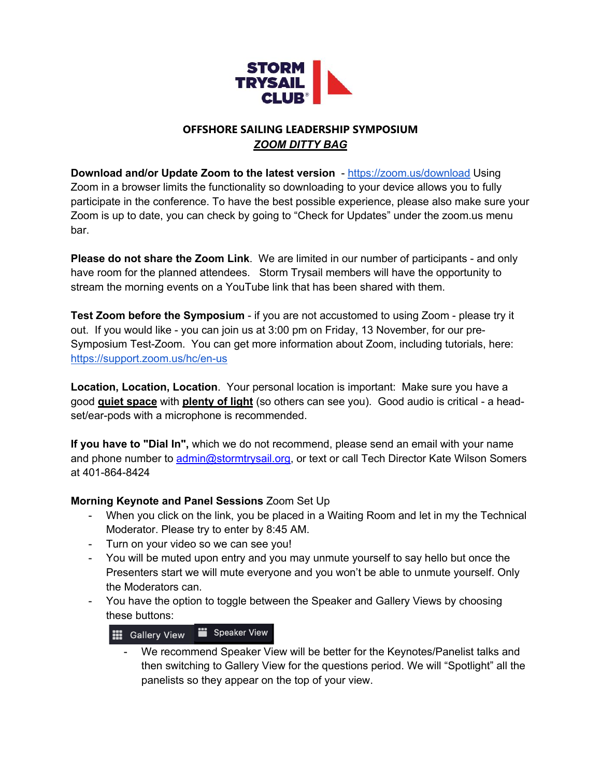

## **OFFSHORE SAILING LEADERSHIP SYMPOSIUM** *ZOOM DITTY BAG*

**Download and/or Update Zoom to the latest version** - https://zoom.us/download Using Zoom in a browser limits the functionality so downloading to your device allows you to fully participate in the conference. To have the best possible experience, please also make sure your Zoom is up to date, you can check by going to "Check for Updates" under the zoom.us menu bar.

**Please do not share the Zoom Link**. We are limited in our number of participants - and only have room for the planned attendees. Storm Trysail members will have the opportunity to stream the morning events on a YouTube link that has been shared with them.

**Test Zoom before the Symposium** - if you are not accustomed to using Zoom - please try it out. If you would like - you can join us at 3:00 pm on Friday, 13 November, for our pre-Symposium Test-Zoom. You can get more information about Zoom, including tutorials, here: https://support.zoom.us/hc/en-us

**Location, Location, Location**. Your personal location is important: Make sure you have a good **quiet space** with **plenty of light** (so others can see you). Good audio is critical - a headset/ear-pods with a microphone is recommended.

**If you have to "Dial In",** which we do not recommend, please send an email with your name and phone number to admin@stormtrysail.org, or text or call Tech Director Kate Wilson Somers at 401-864-8424

## **Morning Keynote and Panel Sessions** Zoom Set Up

- When you click on the link, you be placed in a Waiting Room and let in my the Technical Moderator. Please try to enter by 8:45 AM.
- Turn on your video so we can see you!
- You will be muted upon entry and you may unmute yourself to say hello but once the Presenters start we will mute everyone and you won't be able to unmute yourself. Only the Moderators can.
- You have the option to toggle between the Speaker and Gallery Views by choosing these buttons:



- We recommend Speaker View will be better for the Keynotes/Panelist talks and then switching to Gallery View for the questions period. We will "Spotlight" all the panelists so they appear on the top of your view.